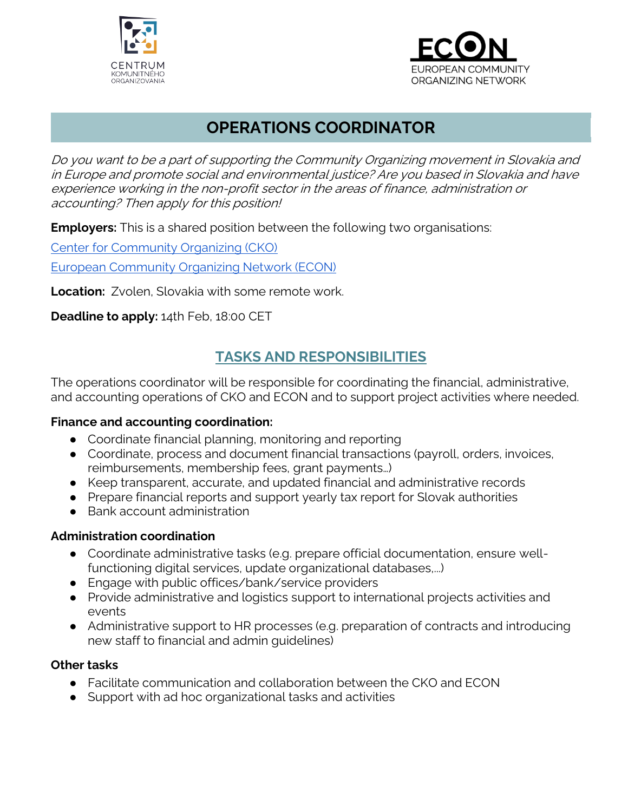



# **OPERATIONS COORDINATOR**

Do you want to be a part of supporting the Community Organizing movement in Slovakia and in Europe and promote social and environmental justice? Are you based in Slovakia and have experience working in the non-profit sector in the areas of finance, administration or accounting? Then apply for this position!

**Employers:** This is a shared position between the following two organisations:

[Center for Community Organizing \(CKO\)](https://www.cko.sk/)

[European Community Organizing Network \(ECON\)](https://organizeeurope.org/)

**Location:** Zvolen, Slovakia with some remote work.

**Deadline to apply:** 14th Feb, 18:00 CET

## **TASKS AND RESPONSIBILITIES**

The operations coordinator will be responsible for coordinating the financial, administrative, and accounting operations of CKO and ECON and to support project activities where needed.

#### **Finance and accounting coordination:**

- Coordinate financial planning, monitoring and reporting
- Coordinate, process and document financial transactions (payroll, orders, invoices, reimbursements, membership fees, grant payments…)
- Keep transparent, accurate, and updated financial and administrative records
- Prepare financial reports and support yearly tax report for Slovak authorities
- Bank account administration

## **Administration coordination**

- Coordinate administrative tasks (e.g. prepare official documentation, ensure wellfunctioning digital services, update organizational databases,...)
- Engage with public offices/bank/service providers
- Provide administrative and logistics support to international projects activities and events
- Administrative support to HR processes (e.g. preparation of contracts and introducing new staff to financial and admin guidelines)

#### **Other tasks**

- Facilitate communication and collaboration between the CKO and ECON
- Support with ad hoc organizational tasks and activities